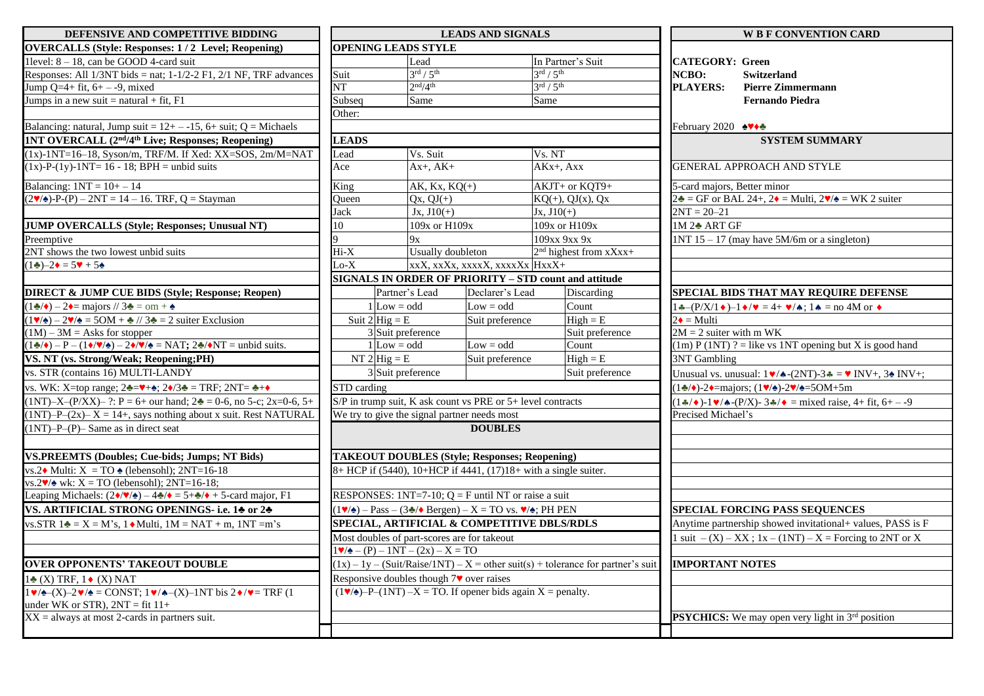| DEFENSIVE AND COMPETITIVE BIDDING                                                                                                                   | <b>LEADS AND SIGNALS</b>                                                                                                                             |                                   |                                                                                                |                                   |                   | <b>W B F CONVENTION CARD</b>                                                                       |                                                                                                                      |
|-----------------------------------------------------------------------------------------------------------------------------------------------------|------------------------------------------------------------------------------------------------------------------------------------------------------|-----------------------------------|------------------------------------------------------------------------------------------------|-----------------------------------|-------------------|----------------------------------------------------------------------------------------------------|----------------------------------------------------------------------------------------------------------------------|
| <b>OVERCALLS (Style: Responses: 1/2 Level; Reopening)</b>                                                                                           |                                                                                                                                                      | <b>OPENING LEADS STYLE</b>        |                                                                                                |                                   |                   |                                                                                                    |                                                                                                                      |
| 1 level: $8 - 18$ , can be GOOD 4-card suit                                                                                                         |                                                                                                                                                      | Lead                              |                                                                                                |                                   | In Partner's Suit |                                                                                                    | <b>CATEGORY: Green</b>                                                                                               |
| Responses: All $1/3NT$ bids = nat; $1-1/2-2$ F1, $2/1$ NF, TRF advances                                                                             | Suit                                                                                                                                                 | $3^{\text{rd}}$ / $5^{\text{th}}$ |                                                                                                | $3^{\text{rd}} / 5^{\text{th}}$   |                   | <b>NCBO:</b>                                                                                       | <b>Switzerland</b>                                                                                                   |
| Jump $Q=4+ fit, 6+ - -9, mixed$                                                                                                                     | NT                                                                                                                                                   | 2 <sup>nd</sup> /4 <sup>th</sup>  |                                                                                                | $3^{\text{rd}}$ / $5^{\text{th}}$ |                   | <b>PLAYERS:</b>                                                                                    | Pierre Zimmermann                                                                                                    |
| Jumps in a new suit = natural + fit, $F1$                                                                                                           | Subseq                                                                                                                                               | Same                              |                                                                                                | Same                              |                   |                                                                                                    | <b>Fernando Piedra</b>                                                                                               |
|                                                                                                                                                     | Other:                                                                                                                                               |                                   |                                                                                                |                                   |                   |                                                                                                    |                                                                                                                      |
| Balancing: natural, Jump suit = $12 + -15$ , 6+ suit; Q = Michaels                                                                                  |                                                                                                                                                      |                                   |                                                                                                |                                   |                   | February 2020 AV+±                                                                                 |                                                                                                                      |
| <b>1NT OVERCALL (2<sup>nd</sup>/4<sup>th</sup> Live; Responses; Reopening)</b>                                                                      | <b>LEADS</b>                                                                                                                                         |                                   |                                                                                                |                                   |                   |                                                                                                    | <b>SYSTEM SUMMARY</b>                                                                                                |
| $(1x)$ -1NT= $16-18$ , Syson/m, TRF/M. If Xed: XX=SOS, 2m/M=NAT                                                                                     | Lead                                                                                                                                                 | Vs. Suit                          |                                                                                                | Vs. NT                            |                   |                                                                                                    |                                                                                                                      |
| $(1x)$ -P- $(1y)$ -1NT= 16 - 18; BPH = unbid suits                                                                                                  | Ace                                                                                                                                                  | $Ax+$ , $AK+$                     |                                                                                                | $AKx+$ , $Axx$                    |                   |                                                                                                    | <b>GENERAL APPROACH AND STYLE</b>                                                                                    |
| Balancing: $1NT = 10+-14$                                                                                                                           | King                                                                                                                                                 | AK, $Kx$ , $KQ(+)$                |                                                                                                | AKJT+ or KQT9+                    |                   | 5-card majors, Better minor                                                                        |                                                                                                                      |
| $(2\mathbf{V}/\mathbf{A})-P-(P) - 2NT = 14 - 16$ . TRF, Q = Stayman<br>$Qx, QJ(+)$<br>Queen                                                         |                                                                                                                                                      | $KQ(+), QJ(x), Qx$                |                                                                                                |                                   |                   | $2\clubsuit$ = GF or BAL 24+, 2 $\bullet$ = Multi, 2 $\blacktriangledown/\spadesuit$ = WK 2 suiter |                                                                                                                      |
|                                                                                                                                                     | Jack                                                                                                                                                 | $Jx, J10(+)$                      |                                                                                                | $Jx, J10(+)$                      |                   | $2NT = 20-21$                                                                                      |                                                                                                                      |
| <b>JUMP OVERCALLS (Style; Responses; Unusual NT)</b>                                                                                                | 10                                                                                                                                                   |                                   | 109x or H109x<br>109x or H109x                                                                 |                                   |                   | 1M 2♣ ART GF                                                                                       |                                                                                                                      |
| Preemptive                                                                                                                                          | 9                                                                                                                                                    | 9x                                |                                                                                                | 109хх 9хх 9х                      |                   |                                                                                                    | 1NT 15 – 17 (may have $5M/6m$ or a singleton)                                                                        |
| 2NT shows the two lowest unbid suits                                                                                                                | $Hi-X$                                                                                                                                               | Usually doubleton                 |                                                                                                | $2nd$ highest from xXxx+          |                   |                                                                                                    |                                                                                                                      |
| $(1\clubsuit) - 2\spadesuit = 5\spadesuit + 5\spadesuit$                                                                                            | $Lo-X$                                                                                                                                               |                                   | xxX, xxXx, xxxxX, xxxxXx HxxX+                                                                 |                                   |                   |                                                                                                    |                                                                                                                      |
|                                                                                                                                                     |                                                                                                                                                      |                                   | <b>SIGNALS IN ORDER OF PRIORITY - STD count and attitude</b>                                   |                                   |                   |                                                                                                    |                                                                                                                      |
| <b>DIRECT &amp; JUMP CUE BIDS (Style; Response; Reopen)</b>                                                                                         |                                                                                                                                                      | Partner's Lead                    | Declarer's Lead                                                                                |                                   | Discarding        |                                                                                                    | SPECIAL BIDS THAT MAY REQUIRE DEFENSE                                                                                |
| $1\clubsuit/\bullet$ – 2 $\bullet$ = majors // 3 $\clubsuit$ = om + $\spadesuit$                                                                    |                                                                                                                                                      | $1$ Low = odd                     | $Low = odd$                                                                                    | Count                             |                   |                                                                                                    | $1 \cdot (-P/X/1 \cdot )-1 \cdot / \cdot = 4+ \cdot / \cdot 1 \cdot =$ no 4M or $\cdot$                              |
| $1\blacktriangledown/\blacktriangle$ ) – 2 $\blacktriangledown/\blacktriangle$ = 50M + $\blacktriangle$ // 3 $\blacktriangle$ = 2 suiter Exclusion  |                                                                                                                                                      | Suit $2$ Hig = E                  |                                                                                                | Suit preference                   | $High = E$        | $2\bullet =$ Multi                                                                                 |                                                                                                                      |
| $(1M) - 3M =$ Asks for stopper                                                                                                                      |                                                                                                                                                      | 3 Suit preference                 |                                                                                                |                                   | Suit preference   | $2M = 2$ suiter with m WK                                                                          |                                                                                                                      |
| $(1\clubsuit/\bullet) - P - (1\bullet/\bullet/\bullet) - 2\bullet/\bullet/\bullet = \text{NAT}; 2\clubsuit/\bullet \text{NT} = \text{unbid suits}.$ |                                                                                                                                                      | $1$ Low = odd                     |                                                                                                | Count                             |                   |                                                                                                    | $(1m) P (1NT) ? = like vs 1NT opening but X is good hand$                                                            |
| VS. NT (vs. Strong/Weak; Reopening;PH)                                                                                                              | NT $2$ Hig = E                                                                                                                                       |                                   | Suit preference                                                                                |                                   | $High = E$        | <b>3NT Gambling</b>                                                                                |                                                                                                                      |
| vs. STR (contains 16) MULTI-LANDY                                                                                                                   | 3 Suit preference                                                                                                                                    |                                   |                                                                                                |                                   | Suit preference   |                                                                                                    |                                                                                                                      |
| vs. WK: X=top range; $2\clubsuit=\blacktriangleright+\spadesuit$ ; $2\blacklozenge/3\clubsuit = \text{TRF}$ ; $2NT = \clubsuit+\blacklozenge$       | STD carding                                                                                                                                          |                                   |                                                                                                |                                   |                   |                                                                                                    | $(1\clubsuit/\bullet)$ -2 $\bullet$ =majors; $(1\blacktriangledown/\bullet)$ -2 $\blacktriangledown/\bullet$ =50M+5m |
| $(1NT) - X - (P/XX) - ?$ : $P = 6 +$ our hand; $2\clubsuit = 0.6$ , no 5-c; $2x=0.6$ , 5+                                                           |                                                                                                                                                      |                                   | S/P in trump suit, K ask count vs PRE or 5+ level contracts                                    |                                   |                   |                                                                                                    | $(1\cdot)/\cdot$ -1 $\cdot/\cdot$ -(P/X) - 3 $\cdot/\cdot$ = mixed raise, 4+ fit, 6+ - -9                            |
| $(1NT) - P - (2x) - X = 14 +$ , says nothing about x suit. Rest NATURAL                                                                             | We try to give the signal partner needs most                                                                                                         |                                   |                                                                                                |                                   |                   | Precised Michael's                                                                                 |                                                                                                                      |
| $(1NT) - P - (P)$ Same as in direct seat                                                                                                            |                                                                                                                                                      |                                   | <b>DOUBLES</b>                                                                                 |                                   |                   |                                                                                                    |                                                                                                                      |
| <b>VS.PREEMTS (Doubles; Cue-bids; Jumps; NT Bids)</b>                                                                                               |                                                                                                                                                      |                                   |                                                                                                |                                   |                   |                                                                                                    |                                                                                                                      |
| vs.2◆ Multi: $X = TO$ ◆ (lebensohl); 2NT=16-18                                                                                                      | <b>TAKEOUT DOUBLES (Style; Responses; Reopening)</b><br>$8+$ HCP if (5440), 10+HCP if 4441, (17)18+ with a single suiter.                            |                                   |                                                                                                |                                   |                   |                                                                                                    |                                                                                                                      |
| $\text{ws.2}\blacktriangleright\!\!\blacktriangleleft\ \text{wk: X} = \text{TO}$ (lebensohl); $2\text{NT} = 16-18$ ;                                |                                                                                                                                                      |                                   |                                                                                                |                                   |                   |                                                                                                    |                                                                                                                      |
| Leaping Michaels: $(2\sqrt{\sqrt{2}}) - 4\sqrt{2} = 5 + \sqrt{2} + 5$ -card major, F1                                                               | RESPONSES: $1NT=7-10$ ; $Q = F$ until NT or raise a suit                                                                                             |                                   |                                                                                                |                                   |                   |                                                                                                    |                                                                                                                      |
| VS. ARTIFICIAL STRONG OPENINGS- i.e. 14 or 24                                                                                                       | $(1\blacktriangledown/\blacktriangle)$ - Pass - $(3\blacktriangle/\blacktriangle)$ Bergen) - X = TO vs. $\blacktriangledown/\blacktriangle$ ; PH PEN |                                   |                                                                                                |                                   |                   |                                                                                                    | <b>SPECIAL FORCING PASS SEQUENCES</b>                                                                                |
| vs.STR 1 $\triangle$ = X = M's, 1 ♦ Multi, 1M = NAT + m, 1NT =m's                                                                                   | SPECIAL, ARTIFICIAL & COMPETITIVE DBLS/RDLS                                                                                                          |                                   |                                                                                                |                                   |                   | Anytime partnership showed invitational+ values, PASS is F                                         |                                                                                                                      |
|                                                                                                                                                     | Most doubles of part-scores are for takeout                                                                                                          |                                   |                                                                                                |                                   |                   |                                                                                                    | suit $-(X) - XX$ ; 1x $-(1NT) - X =$ Forcing to 2NT or X                                                             |
|                                                                                                                                                     | $1\blacktriangledown/\blacktriangle - (P) - 1NT - (2x) - X = TO$                                                                                     |                                   |                                                                                                |                                   |                   |                                                                                                    |                                                                                                                      |
| <b>OVER OPPONENTS' TAKEOUT DOUBLE</b>                                                                                                               | $(1x) - 1y - (Suit/Raise/INT) - X = other suit(s) + tolerance for partner's suit$                                                                    |                                   |                                                                                                |                                   |                   | <b>IMPORTANT NOTES</b>                                                                             |                                                                                                                      |
| $1\bullet$ (X) TRF, $1\bullet$ (X) NAT                                                                                                              | Responsive doubles though 7♥ over raises                                                                                                             |                                   |                                                                                                |                                   |                   |                                                                                                    |                                                                                                                      |
| $1 \vee (-X) - 2 \vee (-X) = \text{CONST}$ ; $1 \vee (-X) - 1 \text{NT}$ bis $2 \vee (-X) = \text{TRF}$ (1                                          |                                                                                                                                                      |                                   | $(1\blacktriangleright/\blacktriangle)$ -P- $(1NT)$ -X = TO. If opener bids again X = penalty. |                                   |                   |                                                                                                    |                                                                                                                      |
| under WK or STR), $2NT = fit 11+$                                                                                                                   |                                                                                                                                                      |                                   |                                                                                                |                                   |                   |                                                                                                    |                                                                                                                      |
| $XX =$ always at most 2-cards in partners suit.                                                                                                     |                                                                                                                                                      |                                   |                                                                                                |                                   |                   |                                                                                                    | <b>PSYCHICS:</b> We may open very light in 3 <sup>rd</sup> position                                                  |
|                                                                                                                                                     |                                                                                                                                                      |                                   |                                                                                                |                                   |                   |                                                                                                    |                                                                                                                      |